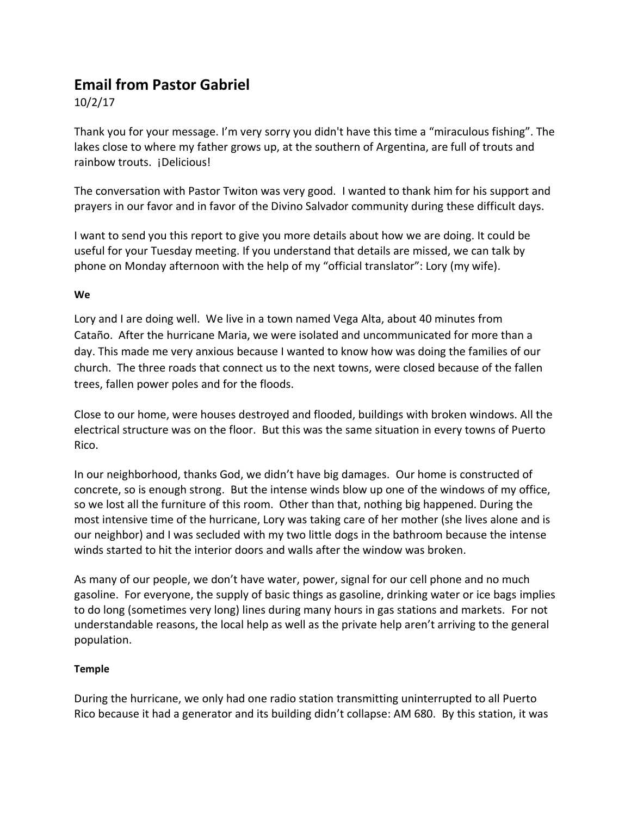# **Email from Pastor Gabriel**

10/2/17

Thank you for your message. I'm very sorry you didn't have this time a "miraculous fishing". The lakes close to where my father grows up, at the southern of Argentina, are full of trouts and rainbow trouts. ¡Delicious!

The conversation with Pastor Twiton was very good. I wanted to thank him for his support and prayers in our favor and in favor of the Divino Salvador community during these difficult days.

I want to send you this report to give you more details about how we are doing. It could be useful for your Tuesday meeting. If you understand that details are missed, we can talk by phone on Monday afternoon with the help of my "official translator": Lory (my wife).

## **We**

Lory and I are doing well. We live in a town named Vega Alta, about 40 minutes from Cataño. After the hurricane Maria, we were isolated and uncommunicated for more than a day. This made me very anxious because I wanted to know how was doing the families of our church. The three roads that connect us to the next towns, were closed because of the fallen trees, fallen power poles and for the floods.

Close to our home, were houses destroyed and flooded, buildings with broken windows. All the electrical structure was on the floor. But this was the same situation in every towns of Puerto Rico.

In our neighborhood, thanks God, we didn't have big damages. Our home is constructed of concrete, so is enough strong. But the intense winds blow up one of the windows of my office, so we lost all the furniture of this room. Other than that, nothing big happened. During the most intensive time of the hurricane, Lory was taking care of her mother (she lives alone and is our neighbor) and I was secluded with my two little dogs in the bathroom because the intense winds started to hit the interior doors and walls after the window was broken.

As many of our people, we don't have water, power, signal for our cell phone and no much gasoline. For everyone, the supply of basic things as gasoline, drinking water or ice bags implies to do long (sometimes very long) lines during many hours in gas stations and markets. For not understandable reasons, the local help as well as the private help aren't arriving to the general population.

## **Temple**

During the hurricane, we only had one radio station transmitting uninterrupted to all Puerto Rico because it had a generator and its building didn't collapse: AM 680. By this station, it was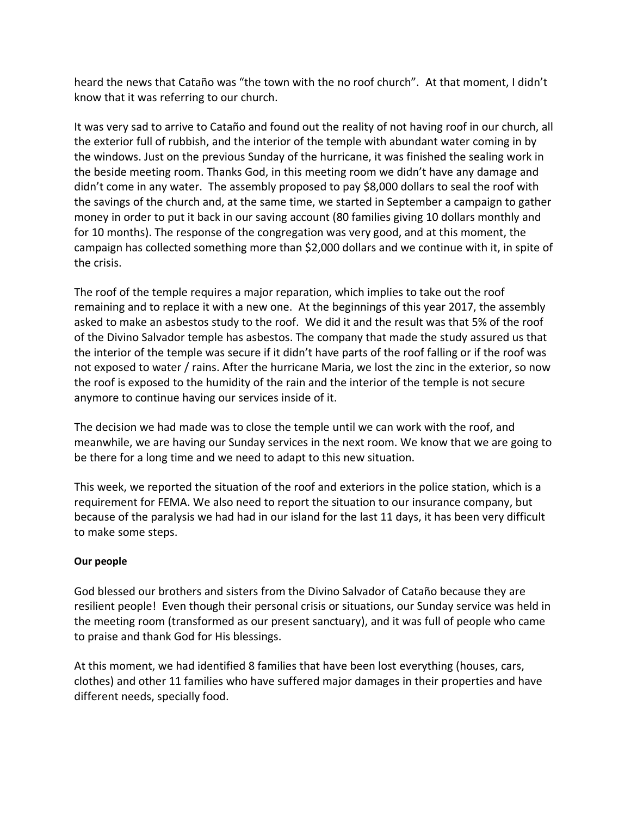heard the news that Cataño was "the town with the no roof church". At that moment, I didn't know that it was referring to our church.

It was very sad to arrive to Cataño and found out the reality of not having roof in our church, all the exterior full of rubbish, and the interior of the temple with abundant water coming in by the windows. Just on the previous Sunday of the hurricane, it was finished the sealing work in the beside meeting room. Thanks God, in this meeting room we didn't have any damage and didn't come in any water. The assembly proposed to pay \$8,000 dollars to seal the roof with the savings of the church and, at the same time, we started in September a campaign to gather money in order to put it back in our saving account (80 families giving 10 dollars monthly and for 10 months). The response of the congregation was very good, and at this moment, the campaign has collected something more than \$2,000 dollars and we continue with it, in spite of the crisis.

The roof of the temple requires a major reparation, which implies to take out the roof remaining and to replace it with a new one. At the beginnings of this year 2017, the assembly asked to make an asbestos study to the roof. We did it and the result was that 5% of the roof of the Divino Salvador temple has asbestos. The company that made the study assured us that the interior of the temple was secure if it didn't have parts of the roof falling or if the roof was not exposed to water / rains. After the hurricane Maria, we lost the zinc in the exterior, so now the roof is exposed to the humidity of the rain and the interior of the temple is not secure anymore to continue having our services inside of it.

The decision we had made was to close the temple until we can work with the roof, and meanwhile, we are having our Sunday services in the next room. We know that we are going to be there for a long time and we need to adapt to this new situation.

This week, we reported the situation of the roof and exteriors in the police station, which is a requirement for FEMA. We also need to report the situation to our insurance company, but because of the paralysis we had had in our island for the last 11 days, it has been very difficult to make some steps.

## **Our people**

God blessed our brothers and sisters from the Divino Salvador of Cataño because they are resilient people! Even though their personal crisis or situations, our Sunday service was held in the meeting room (transformed as our present sanctuary), and it was full of people who came to praise and thank God for His blessings.

At this moment, we had identified 8 families that have been lost everything (houses, cars, clothes) and other 11 families who have suffered major damages in their properties and have different needs, specially food.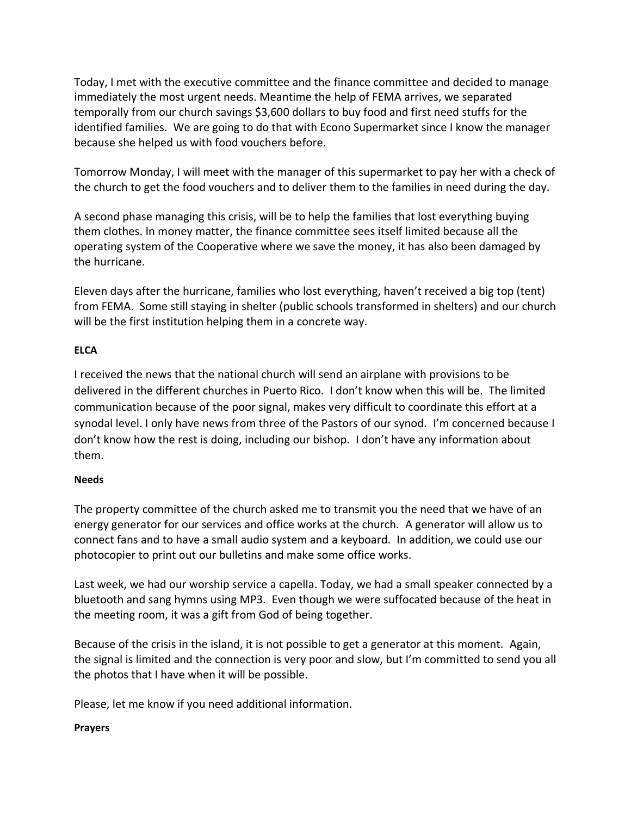Today, I met with the executive committee and the finance committee and decided to manage immediately the most urgent needs. Meantime the help of FEMA arrives, we separated temporally from our church savings \$3,600 dollars to buy food and first need stuffs for the identified families. We are going to do that with Econo Supermarket since I know the manager because she helped us with food vouchers before.

Tomorrow Monday, I will meet with the manager of this supermarket to pay her with a check of the church to get the food vouchers and to deliver them to the families in need during the day.

A second phase managing this crisis, will be to help the families that lost everything buying them clothes. In money matter, the finance committee sees itself limited because all the operating system of the Cooperative where we save the money, it has also been damaged by the hurricane.

Eleven days after the hurricane, families who lost everything, haven't received a big top (tent) from FEMA. Some still staying in shelter (public schools transformed in shelters) and our church will be the first institution helping them in a concrete way.

## **ELCA**

I received the news that the national church will send an airplane with provisions to be delivered in the different churches in Puerto Rico. I don't know when this will be. The limited communication because of the poor signal, makes very difficult to coordinate this effort at a synodal level. I only have news from three of the Pastors of our synod. I'm concerned because I don't know how the rest is doing, including our bishop. I don't have any information about them.

## **Needs**

The property committee of the church asked me to transmit you the need that we have of an energy generator for our services and office works at the church. A generator will allow us to connect fans and to have a small audio system and a keyboard. In addition, we could use our photocopier to print out our bulletins and make some office works.

Last week, we had our worship service a capella. Today, we had a small speaker connected by a bluetooth and sang hymns using MP3. Even though we were suffocated because of the heat in the meeting room, it was a gift from God of being together.

Because of the crisis in the island, it is not possible to get a generator at this moment. Again, the signal is limited and the connection is very poor and slow, but I'm committed to send you all the photos that I have when it will be possible.

Please, let me know if you need additional information.

## **Prayers**